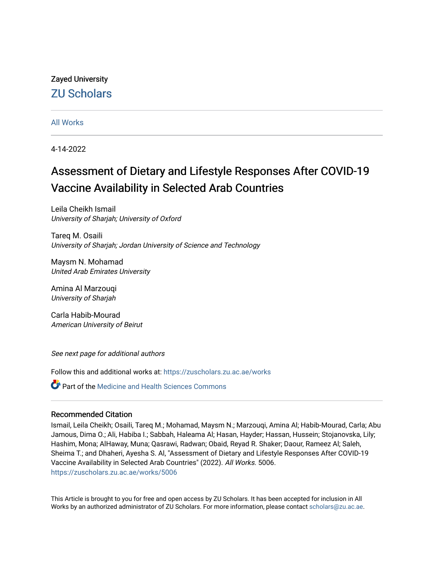# Zayed University [ZU Scholars](https://zuscholars.zu.ac.ae/)

### [All Works](https://zuscholars.zu.ac.ae/works)

4-14-2022

# Assessment of Dietary and Lifestyle Responses After COVID-19 Vaccine Availability in Selected Arab Countries

Leila Cheikh Ismail University of Sharjah; University of Oxford

Tareq M. Osaili University of Sharjah; Jordan University of Science and Technology

Maysm N. Mohamad United Arab Emirates University

Amina Al Marzouqi University of Sharjah

Carla Habib-Mourad American University of Beirut

See next page for additional authors

Follow this and additional works at: [https://zuscholars.zu.ac.ae/works](https://zuscholars.zu.ac.ae/works?utm_source=zuscholars.zu.ac.ae%2Fworks%2F5006&utm_medium=PDF&utm_campaign=PDFCoverPages)

**C** Part of the Medicine and Health Sciences Commons

#### Recommended Citation

Ismail, Leila Cheikh; Osaili, Tareq M.; Mohamad, Maysm N.; Marzouqi, Amina Al; Habib-Mourad, Carla; Abu Jamous, Dima O.; Ali, Habiba I.; Sabbah, Haleama Al; Hasan, Hayder; Hassan, Hussein; Stojanovska, Lily; Hashim, Mona; AlHaway, Muna; Qasrawi, Radwan; Obaid, Reyad R. Shaker; Daour, Rameez Al; Saleh, Sheima T.; and Dhaheri, Ayesha S. Al, "Assessment of Dietary and Lifestyle Responses After COVID-19 Vaccine Availability in Selected Arab Countries" (2022). All Works. 5006. [https://zuscholars.zu.ac.ae/works/5006](https://zuscholars.zu.ac.ae/works/5006?utm_source=zuscholars.zu.ac.ae%2Fworks%2F5006&utm_medium=PDF&utm_campaign=PDFCoverPages)

This Article is brought to you for free and open access by ZU Scholars. It has been accepted for inclusion in All Works by an authorized administrator of ZU Scholars. For more information, please contact [scholars@zu.ac.ae](mailto:scholars@zu.ac.ae).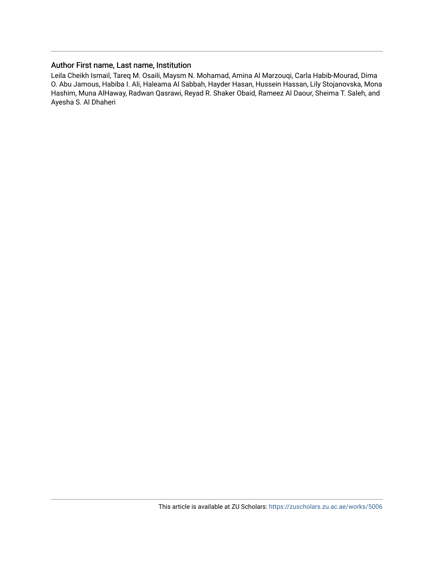### Author First name, Last name, Institution

Leila Cheikh Ismail, Tareq M. Osaili, Maysm N. Mohamad, Amina Al Marzouqi, Carla Habib-Mourad, Dima O. Abu Jamous, Habiba I. Ali, Haleama Al Sabbah, Hayder Hasan, Hussein Hassan, Lily Stojanovska, Mona Hashim, Muna AlHaway, Radwan Qasrawi, Reyad R. Shaker Obaid, Rameez Al Daour, Sheima T. Saleh, and Ayesha S. Al Dhaheri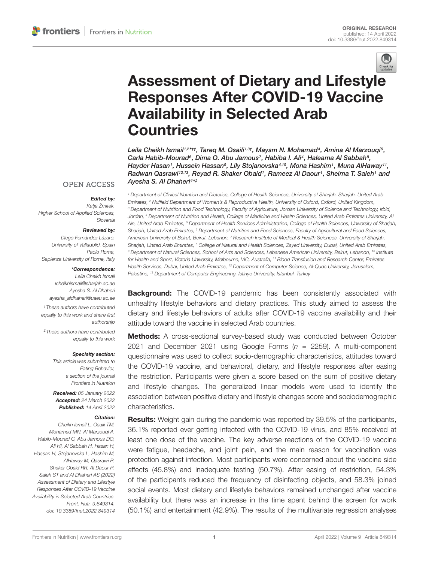

# Assessment of Dietary and Lifestyle [Responses After COVID-19 Vaccine](https://www.frontiersin.org/articles/10.3389/fnut.2022.849314/full) Availability in Selected Arab **Countries**

Leila Cheikh Ismail1<sup>,2</sup>\*†‡, Tareq M. Osaili<sup>1,3†</sup>, Maysm N. Mohamad<sup>4</sup>, Amina Al Marzouqi<sup>5</sup>, Carla Habib-Mourad<sup>s</sup>, Dima O. Abu Jamous<sup>7</sup>, Habiba I. Ali<sup>4</sup>, Haleama Al Sabbah<sup>s</sup>, Hayder Hasan1, Hussein Hassan<sup>9</sup>, Lily Stojanovska4.10, Mona Hashim1, Muna AlHaway11, Radwan Qasrawi12,13, Reyad R. Shaker Obaid1, Rameez Al Daour1, Sheima T. Saleh1 and Ayesha S. Al Dhaheri $^{4\star\pm}$ 

<sup>1</sup> Department of Clinical Nutrition and Dietetics, College of Health Sciences, University of Sharjah, Sharjah, United Arab Emirates, <sup>2</sup> Nuffield Department of Women's & Reproductive Health, University of Oxford, Oxford, United Kingdom, <sup>3</sup> Department of Nutrition and Food Technology, Faculty of Agriculture, Jordan University of Science and Technology, Irbid, Jordan, <sup>4</sup> Department of Nutrition and Health, College of Medicine and Health Sciences, United Arab Emirates University, Al Ain, United Arab Emirates, <sup>5</sup> Department of Health Services Administration, College of Health Sciences, University of Sharjah, Sharjah, United Arab Emirates, <sup>6</sup> Department of Nutrition and Food Sciences, Faculty of Agricultural and Food Sciences, American University of Beirut, Beirut, Lebanon, 7 Research Institute of Medical & Health Sciences, University of Sharjah, Sharjah, United Arab Emirates, <sup>8</sup> College of Natural and Health Sciences, Zayed University, Dubai, United Arab Emirates, 9 Department of Natural Sciences, School of Arts and Sciences, Lebanese American University, Beirut, Lebanon, <sup>10</sup> Institute for Health and Sport, Victoria University, Melbourne, VIC, Australia, <sup>11</sup> Blood Transfusion and Research Center, Emirates Health Services, Dubai, United Arab Emirates, <sup>12</sup> Department of Computer Science, Al-Quds University, Jerusalem, Palestine, <sup>13</sup> Department of Computer Engineering, Istinye University, Istanbul, Turkey

**Background:** The COVID-19 pandemic has been consistently associated with unhealthy lifestyle behaviors and dietary practices. This study aimed to assess the dietary and lifestyle behaviors of adults after COVID-19 vaccine availability and their attitude toward the vaccine in selected Arab countries.

Methods: A cross-sectional survey-based study was conducted between October 2021 and December 2021 using Google Forms  $(n = 2259)$ . A multi-component questionnaire was used to collect socio-demographic characteristics, attitudes toward the COVID-19 vaccine, and behavioral, dietary, and lifestyle responses after easing the restriction. Participants were given a score based on the sum of positive dietary and lifestyle changes. The generalized linear models were used to identify the association between positive dietary and lifestyle changes score and sociodemographic characteristics.

**Results:** Weight gain during the pandemic was reported by 39.5% of the participants, 36.1% reported ever getting infected with the COVID-19 virus, and 85% received at least one dose of the vaccine. The key adverse reactions of the COVID-19 vaccine were fatigue, headache, and joint pain, and the main reason for vaccination was protection against infection. Most participants were concerned about the vaccine side effects (45.8%) and inadequate testing (50.7%). After easing of restriction, 54.3% of the participants reduced the frequency of disinfecting objects, and 58.3% joined social events. Most dietary and lifestyle behaviors remained unchanged after vaccine availability but there was an increase in the time spent behind the screen for work (50.1%) and entertainment (42.9%). The results of the multivariate regression analyses

#### **OPEN ACCESS**

#### Edited by:

Katja Žmitek, Higher School of Applied Sciences, Slovenia

#### Reviewed by:

Diego Fernández Lázaro, University of Valladolid, Spain Paolo Roma, Sapienza University of Rome, Italy

#### \*Correspondence:

Leila Cheikh Ismail lcheikhismail@sharjah.ac.ae Ayesha S. Al Dhaheri ayesha\_aldhaheri@uaeu.ac.ae

†These authors have contributed equally to this work and share first authorship

‡These authors have contributed equally to this work

#### Specialty section:

This article was submitted to Eating Behavior, a section of the journal Frontiers in Nutrition

Received: 05 January 2022 Accepted: 24 March 2022 Published: 14 April 2022

#### Citation:

Cheikh Ismail L, Osaili TM, Mohamad MN, Al Marzouqi A, Habib-Mourad C, Abu Jamous DO, Ali HI, Al Sabbah H, Hasan H, Hassan H, Stojanovska L, Hashim M, AlHaway M, Qasrawi R, Shaker Obaid RR, Al Daour R, Saleh ST and Al Dhaheri AS (2022) Assessment of Dietary and Lifestyle Responses After COVID-19 Vaccine Availability in Selected Arab Countries. Front. Nutr. 9:849314. doi: [10.3389/fnut.2022.849314](https://doi.org/10.3389/fnut.2022.849314)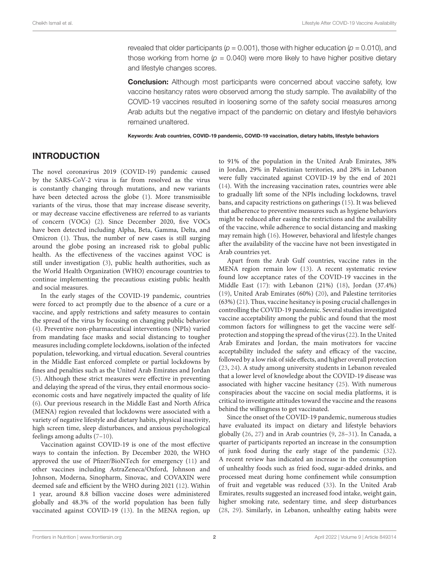revealed that older participants ( $p = 0.001$ ), those with higher education ( $p = 0.010$ ), and those working from home ( $p = 0.040$ ) were more likely to have higher positive dietary and lifestyle changes scores.

**Conclusion:** Although most participants were concerned about vaccine safety, low vaccine hesitancy rates were observed among the study sample. The availability of the COVID-19 vaccines resulted in loosening some of the safety social measures among Arab adults but the negative impact of the pandemic on dietary and lifestyle behaviors remained unaltered.

Keywords: Arab countries, COVID-19 pandemic, COVID-19 vaccination, dietary habits, lifestyle behaviors

## INTRODUCTION

The novel coronavirus 2019 (COVID-19) pandemic caused by the SARS-CoV-2 virus is far from resolved as the virus is constantly changing through mutations, and new variants have been detected across the globe [\(1\)](#page-10-0). More transmissible variants of the virus, those that may increase disease severity, or may decrease vaccine effectiveness are referred to as variants of concern (VOCs) [\(2\)](#page-10-1). Since December 2020, five VOCs have been detected including Alpha, Beta, Gamma, Delta, and Omicron [\(1\)](#page-10-0). Thus, the number of new cases is still surging around the globe posing an increased risk to global public health. As the effectiveness of the vaccines against VOC is still under investigation [\(3\)](#page-10-2), public health authorities, such as the World Health Organization (WHO) encourage countries to continue implementing the precautious existing public health and social measures.

In the early stages of the COVID-19 pandemic, countries were forced to act promptly due to the absence of a cure or a vaccine, and apply restrictions and safety measures to contain the spread of the virus by focusing on changing public behavior [\(4\)](#page-10-3). Preventive non-pharmaceutical interventions (NPIs) varied from mandating face masks and social distancing to tougher measures including complete lockdowns, isolation of the infected population, teleworking, and virtual education. Several countries in the Middle East enforced complete or partial lockdowns by fines and penalties such as the United Arab Emirates and Jordan [\(5\)](#page-11-0). Although these strict measures were effective in preventing and delaying the spread of the virus, they entail enormous socioeconomic costs and have negatively impacted the quality of life [\(6\)](#page-11-1). Our previous research in the Middle East and North Africa (MENA) region revealed that lockdowns were associated with a variety of negative lifestyle and dietary habits, physical inactivity, high screen time, sleep disturbances, and anxious psychological feelings among adults [\(7–](#page-11-2)[10\)](#page-11-3).

Vaccination against COVID-19 is one of the most effective ways to contain the infection. By December 2020, the WHO approved the use of Pfizer/BioNTech for emergency [\(11\)](#page-11-4) and other vaccines including AstraZeneca/Oxford, Johnson and Johnson, Moderna, Sinopharm, Sinovac, and COVAXIN were deemed safe and efficient by the WHO during 2021 [\(12\)](#page-11-5). Within 1 year, around 8.8 billion vaccine doses were administered globally and 48.3% of the world population has been fully vaccinated against COVID-19 [\(13\)](#page-11-6). In the MENA region, up to 91% of the population in the United Arab Emirates, 38% in Jordan, 29% in Palestinian territories, and 28% in Lebanon were fully vaccinated against COVID-19 by the end of 2021 [\(14\)](#page-11-7). With the increasing vaccination rates, countries were able to gradually lift some of the NPIs including lockdowns, travel bans, and capacity restrictions on gatherings [\(15\)](#page-11-8). It was believed that adherence to preventive measures such as hygiene behaviors might be reduced after easing the restrictions and the availability of the vaccine, while adherence to social distancing and masking may remain high [\(16\)](#page-11-9). However, behavioral and lifestyle changes after the availability of the vaccine have not been investigated in Arab countries yet.

Apart from the Arab Gulf countries, vaccine rates in the MENA region remain low [\(13\)](#page-11-6). A recent systematic review found low acceptance rates of the COVID-19 vaccines in the Middle East [\(17\)](#page-11-10): with Lebanon (21%) [\(18\)](#page-11-11), Jordan (37.4%) [\(19\)](#page-11-12), United Arab Emirates (60%) [\(20\)](#page-11-13), and Palestine territories (63%) [\(21\)](#page-11-14). Thus, vaccine hesitancy is posing crucial challenges in controlling the COVID-19 pandemic. Several studies investigated vaccine acceptability among the public and found that the most common factors for willingness to get the vaccine were selfprotection and stopping the spread of the virus [\(22\)](#page-11-15). In the United Arab Emirates and Jordan, the main motivators for vaccine acceptability included the safety and efficacy of the vaccine, followed by a low risk of side effects, and higher overall protection [\(23,](#page-11-16) [24\)](#page-11-17). A study among university students in Lebanon revealed that a lower level of knowledge about the COVID-19 disease was associated with higher vaccine hesitancy [\(25\)](#page-11-18). With numerous conspiracies about the vaccine on social media platforms, it is critical to investigate attitudes toward the vaccine and the reasons behind the willingness to get vaccinated.

Since the onset of the COVID-19 pandemic, numerous studies have evaluated its impact on dietary and lifestyle behaviors globally [\(26,](#page-11-19) [27\)](#page-11-20) and in Arab countries [\(9,](#page-11-21) [28–](#page-11-22)[31\)](#page-11-23). In Canada, a quarter of participants reported an increase in the consumption of junk food during the early stage of the pandemic [\(32\)](#page-11-24). A recent review has indicated an increase in the consumption of unhealthy foods such as fried food, sugar-added drinks, and processed meat during home confinement while consumption of fruit and vegetable was reduced [\(33\)](#page-11-25). In the United Arab Emirates, results suggested an increased food intake, weight gain, higher smoking rate, sedentary time, and sleep disturbances [\(28,](#page-11-22) [29\)](#page-11-26). Similarly, in Lebanon, unhealthy eating habits were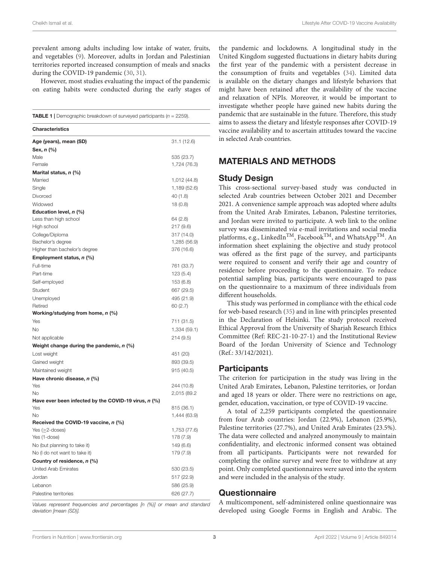prevalent among adults including low intake of water, fruits, and vegetables [\(9\)](#page-11-21). Moreover, adults in Jordan and Palestinian territories reported increased consumption of meals and snacks during the COVID-19 pandemic [\(30,](#page-11-27) [31\)](#page-11-23).

However, most studies evaluating the impact of the pandemic on eating habits were conducted during the early stages of

<span id="page-4-0"></span>**TABLE 1** | Demographic breakdown of surveyed participants ( $n = 2259$ ).

| <b>Characteristics</b>                                    |              |
|-----------------------------------------------------------|--------------|
| Age (years), mean (SD)                                    | 31.1 (12.6)  |
| Sex, n (%)                                                |              |
| Male                                                      | 535 (23.7)   |
| Female                                                    | 1,724 (76.3) |
| Marital status, n (%)                                     |              |
| Married                                                   | 1,012 (44.8) |
| Single                                                    | 1,189 (52.6) |
| Divorced                                                  | 40 (1.8)     |
| Widowed                                                   | 18(0.8)      |
| Education level, n (%)                                    |              |
| Less than high school                                     | 64 (2.8)     |
| High school                                               | 217 (9.6)    |
| College/Diploma                                           | 317 (14.0)   |
| Bachelor's degree                                         | 1,285 (56.9) |
| Higher than bachelor's degree                             | 376 (16.6)   |
| Employment status, n (%)                                  |              |
| Full-time                                                 | 761 (33.7)   |
| Part-time                                                 | 123 (5.4)    |
| Self-employed                                             | 153 (6.8)    |
| Student                                                   | 667 (29.5)   |
| Unemployed                                                | 495 (21.9)   |
| Retired                                                   | 60(2.7)      |
| Working/studying from home, n (%)                         |              |
| Yes                                                       | 711 (31.5)   |
| No                                                        | 1,334 (59.1) |
| Not applicable                                            | 214 (9.5)    |
| Weight change during the pandemic, $n$ (%)                |              |
| Lost weight                                               | 451 (20)     |
| Gained weight                                             | 893 (39.5)   |
| Maintained weight                                         | 915 (40.5)   |
| Have chronic disease, n (%)                               |              |
| Yes                                                       | 244 (10.8)   |
| No                                                        | 2,015 (89.2  |
| Have ever been infected by the COVID-19 virus, $n$ (%)    |              |
| Yes                                                       | 815 (36.1)   |
| No                                                        | 1,444 (63.9) |
| Received the COVID-19 vaccine, n (%)<br>Yes $(≥2$ -doses) | 1,753 (77.6) |
| Yes (1-dose)                                              | 178 (7.9)    |
| No (but planning to take it)                              | 149 (6.6)    |
| No (I do not want to take it)                             | 179 (7.9)    |
| Country of residence, n (%)                               |              |
| United Arab Emirates                                      | 530 (23.5)   |
| Jordan                                                    | 517 (22.9)   |
|                                                           |              |
| Lebanon                                                   | 586 (25.9)   |
| Palestine territories                                     | 626 (27.7)   |

Values represent frequencies and percentages [n (%)] or mean and standard deviation [mean (SD)].

the pandemic and lockdowns. A longitudinal study in the United Kingdom suggested fluctuations in dietary habits during the first year of the pandemic with a persistent decrease in the consumption of fruits and vegetables [\(34\)](#page-11-28). Limited data is available on the dietary changes and lifestyle behaviors that might have been retained after the availability of the vaccine and relaxation of NPIs. Moreover, it would be important to investigate whether people have gained new habits during the pandemic that are sustainable in the future. Therefore, this study aims to assess the dietary and lifestyle responses after COVID-19 vaccine availability and to ascertain attitudes toward the vaccine in selected Arab countries.

## MATERIALS AND METHODS

#### Study Design

This cross-sectional survey-based study was conducted in selected Arab countries between October 2021 and December 2021. A convenience sample approach was adopted where adults from the United Arab Emirates, Lebanon, Palestine territories, and Jordan were invited to participate. A web link to the online survey was disseminated via e-mail invitations and social media platforms, e.g., LinkedIn<sup>TM</sup>, Facebook<sup>TM</sup>, and WhatsApp<sup>TM</sup>. An information sheet explaining the objective and study protocol was offered as the first page of the survey, and participants were required to consent and verify their age and country of residence before proceeding to the questionnaire. To reduce potential sampling bias, participants were encouraged to pass on the questionnaire to a maximum of three individuals from different households.

This study was performed in compliance with the ethical code for web-based research [\(35\)](#page-11-29) and in line with principles presented in the Declaration of Helsinki. The study protocol received Ethical Approval from the University of Sharjah Research Ethics Committee (Ref: REC-21-10-27-1) and the Institutional Review Board of the Jordan University of Science and Technology (Ref.: 33/142/2021).

## **Participants**

The criterion for participation in the study was living in the United Arab Emirates, Lebanon, Palestine territories, or Jordan and aged 18 years or older. There were no restrictions on age, gender, education, vaccination, or type of COVID-19 vaccine.

A total of 2,259 participants completed the questionnaire from four Arab countries: Jordan (22.9%), Lebanon (25.9%), Palestine territories (27.7%), and United Arab Emirates (23.5%). The data were collected and analyzed anonymously to maintain confidentiality, and electronic informed consent was obtained from all participants. Participants were not rewarded for completing the online survey and were free to withdraw at any point. Only completed questionnaires were saved into the system and were included in the analysis of the study.

#### **Questionnaire**

A multicomponent, self-administered online questionnaire was developed using Google Forms in English and Arabic. The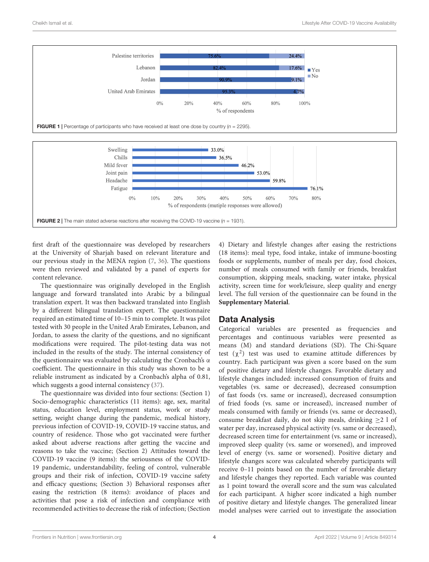<span id="page-5-0"></span>

<span id="page-5-1"></span>first draft of the questionnaire was developed by researchers at the University of Sharjah based on relevant literature and our previous study in the MENA region [\(7,](#page-11-2) [36\)](#page-11-30). The questions were then reviewed and validated by a panel of experts for content relevance.

The questionnaire was originally developed in the English language and forward translated into Arabic by a bilingual translation expert. It was then backward translated into English by a different bilingual translation expert. The questionnaire required an estimated time of 10–15 min to complete. It was pilot tested with 30 people in the United Arab Emirates, Lebanon, and Jordan, to assess the clarity of the questions, and no significant modifications were required. The pilot-testing data was not included in the results of the study. The internal consistency of the questionnaire was evaluated by calculating the Cronbach's  $α$ coefficient. The questionnaire in this study was shown to be a reliable instrument as indicated by a Cronbach's alpha of 0.81, which suggests a good internal consistency [\(37\)](#page-11-31).

The questionnaire was divided into four sections: (Section 1) Socio-demographic characteristics (11 items): age, sex, marital status, education level, employment status, work or study setting, weight change during the pandemic, medical history, previous infection of COVID-19, COVID-19 vaccine status, and country of residence. Those who got vaccinated were further asked about adverse reactions after getting the vaccine and reasons to take the vaccine; (Section 2) Attitudes toward the COVID-19 vaccine (9 items): the seriousness of the COVID-19 pandemic, understandability, feeling of control, vulnerable groups and their risk of infection, COVID-19 vaccine safety and efficacy questions; (Section 3) Behavioral responses after easing the restriction (8 items): avoidance of places and activities that pose a risk of infection and compliance with recommended activities to decrease the risk of infection; (Section

4) Dietary and lifestyle changes after easing the restrictions (18 items): meal type, food intake, intake of immune-boosting foods or supplements, number of meals per day, food choices, number of meals consumed with family or friends, breakfast consumption, skipping meals, snacking, water intake, physical activity, screen time for work/leisure, sleep quality and energy level. The full version of the questionnaire can be found in the **[Supplementary Material](#page-10-4)**.

## Data Analysis

Categorical variables are presented as frequencies and percentages and continuous variables were presented as means (M) and standard deviations (SD). The Chi-Square test  $(\chi^2)$  test was used to examine attitude differences by country. Each participant was given a score based on the sum of positive dietary and lifestyle changes. Favorable dietary and lifestyle changes included: increased consumption of fruits and vegetables (vs. same or decreased), decreased consumption of fast foods (vs. same or increased), decreased consumption of fried foods (vs. same or increased), increased number of meals consumed with family or friends (vs. same or decreased), consume breakfast daily, do not skip meals, drinking  $\geq 2$  l of water per day, increased physical activity (vs. same or decreased), decreased screen time for entertainment (vs. same or increased), improved sleep quality (vs. same or worsened), and improved level of energy (vs. same or worsened). Positive dietary and lifestyle changes score was calculated whereby participants will receive 0–11 points based on the number of favorable dietary and lifestyle changes they reported. Each variable was counted as 1 point toward the overall score and the sum was calculated for each participant. A higher score indicated a high number of positive dietary and lifestyle changes. The generalized linear model analyses were carried out to investigate the association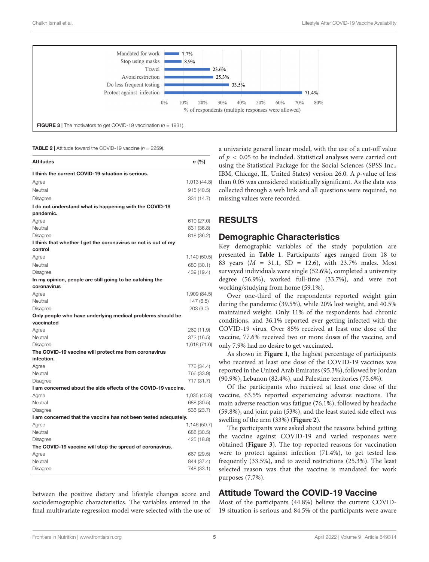

<span id="page-6-1"></span><span id="page-6-0"></span>**TABLE 2** | Attitude toward the COVID-19 vaccine ( $n = 2259$ ).

| <b>Attitudes</b>                                                | $n$ (%)      |
|-----------------------------------------------------------------|--------------|
| I think the current COVID-19 situation is serious.              |              |
| Agree                                                           | 1,013 (44.8) |
| Neutral                                                         | 915(40.5)    |
| Disagree                                                        | 331 (14.7)   |
| I do not understand what is happening with the COVID-19         |              |
| pandemic.                                                       |              |
| Agree                                                           | 610 (27.0)   |
| Neutral                                                         | 831 (36.8)   |
| Disagree                                                        | 818 (36.2)   |
| I think that whether I get the coronavirus or not is out of my  |              |
| control                                                         |              |
| Agree                                                           | 1,140 (50.5) |
| Neutral                                                         | 680 (30.1)   |
| Disagree                                                        | 439 (19.4)   |
| In my opinion, people are still going to be catching the        |              |
| coronavirus                                                     |              |
| Agree                                                           | 1,909 (84.5) |
| Neutral                                                         | 147 (6.5)    |
| Disagree                                                        | 203(9.0)     |
| Only people who have underlying medical problems should be      |              |
| vaccinated                                                      |              |
| Agree                                                           | 269 (11.9)   |
| Neutral                                                         | 372 (16.5)   |
| Disagree                                                        | 1,618 (71.6) |
| The COVID-19 vaccine will protect me from coronavirus           |              |
| infection.                                                      |              |
| Agree                                                           | 776 (34.4)   |
| Neutral                                                         | 766 (33.9)   |
| <b>Disagree</b>                                                 | 717 (31.7)   |
| I am concerned about the side effects of the COVID-19 vaccine.  |              |
| Agree                                                           | 1,035 (45.8) |
| Neutral                                                         | 688 (30.5)   |
| Disagree                                                        | 536 (23.7)   |
| I am concerned that the vaccine has not been tested adequately. |              |
| Agree                                                           | 1,146 (50.7) |
| Neutral                                                         | 688 (30.5)   |
| Disagree                                                        | 425 (18.8)   |
| The COVID-19 vaccine will stop the spread of coronavirus.       |              |
| Agree                                                           | 667 (29.5)   |
| Neutral                                                         | 844 (37.4)   |
| Disagree                                                        | 748 (33.1)   |

between the positive dietary and lifestyle changes score and sociodemographic characteristics. The variables entered in the final multivariate regression model were selected with the use of a univariate general linear model, with the use of a cut-off value of  $p < 0.05$  to be included. Statistical analyses were carried out using the Statistical Package for the Social Sciences (SPSS Inc., IBM, Chicago, IL, United States) version 26.0. A p-value of less than 0.05 was considered statistically significant. As the data was collected through a web link and all questions were required, no missing values were recorded.

#### RESULTS

#### Demographic Characteristics

Key demographic variables of the study population are presented in **[Table 1](#page-4-0)**. Participants' ages ranged from 18 to 83 years (M = 31.1, SD = 12.6), with 23.7% males. Most surveyed individuals were single (52.6%), completed a university degree (56.9%), worked full-time (33.7%), and were not working/studying from home (59.1%).

Over one-third of the respondents reported weight gain during the pandemic (39.5%), while 20% lost weight, and 40.5% maintained weight. Only 11% of the respondents had chronic conditions, and 36.1% reported ever getting infected with the COVID-19 virus. Over 85% received at least one dose of the vaccine, 77.6% received two or more doses of the vaccine, and only 7.9% had no desire to get vaccinated.

As shown in **[Figure 1](#page-5-0)**, the highest percentage of participants who received at least one dose of the COVID-19 vaccines was reported in the United Arab Emirates (95.3%), followed by Jordan (90.9%), Lebanon (82.4%), and Palestine territories (75.6%).

Of the participants who received at least one dose of the vaccine, 63.5% reported experiencing adverse reactions. The main adverse reaction was fatigue (76.1%), followed by headache (59.8%), and joint pain (53%), and the least stated side effect was swelling of the arm (33%) (**[Figure 2](#page-5-1)**).

The participants were asked about the reasons behind getting the vaccine against COVID-19 and varied responses were obtained (**[Figure 3](#page-6-0)**). The top reported reasons for vaccination were to protect against infection (71.4%), to get tested less frequently (33.5%), and to avoid restrictions (25.3%). The least selected reason was that the vaccine is mandated for work purposes (7.7%).

## Attitude Toward the COVID-19 Vaccine

Most of the participants (44.8%) believe the current COVID-19 situation is serious and 84.5% of the participants were aware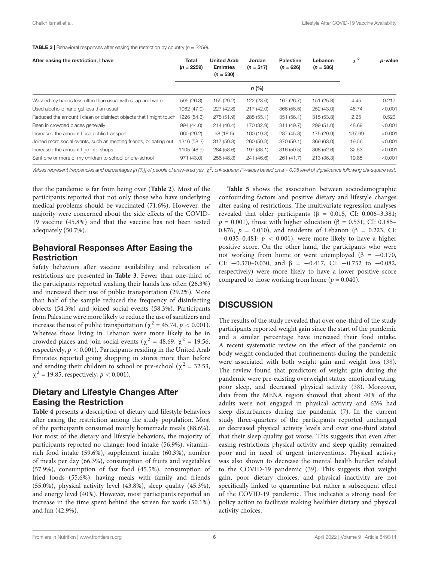<span id="page-7-0"></span>**TABLE 3** | Behavioral responses after easing the restriction by country ( $n = 2259$ ).

| After easing the restriction, I have                               | Total<br>$(n = 2259)$ | <b>United Arab</b><br><b>Emirates</b><br>$(n = 530)$ | Jordan<br>$(n = 517)$ | <b>Palestine</b><br>$(n = 626)$ | Lebanon<br>$(n = 586)$ | $\chi^2$ | p-value |
|--------------------------------------------------------------------|-----------------------|------------------------------------------------------|-----------------------|---------------------------------|------------------------|----------|---------|
|                                                                    |                       |                                                      | $n$ (%)               |                                 |                        |          |         |
| Washed my hands less often than usual with soap and water          | 595 (26.3)            | 155 (29.2)                                           | 122 (23.6)            | 167 (26.7)                      | 151 (25.8)             | 4.45     | 0.217   |
| Used alcoholic hand gel less than usual                            | 1062 (47.0)           | 227 (42.8)                                           | 217 (42.0)            | 366 (58.5)                      | 252 (43.0)             | 45.74    | < 0.001 |
| Reduced the amount I clean or disinfect objects that I might touch | 1226 (54.3)           | 275 (51.9)                                           | 285 (55.1)            | 351(56.1)                       | 315(53.8)              | 2.25     | 0.523   |
| Been in crowded places generally                                   | 994 (44.0)            | 214 (40.4)                                           | 170 (32.9)            | 311 (49.7)                      | 299 (51.0)             | 48.69    | < 0.001 |
| Increased the amount I use public transport                        | 660 (29.2)            | 98(18.5)                                             | 100 (19.3)            | 287 (45.8)                      | 175 (29.9)             | 137.69   | < 0.001 |
| Joined more social events, such as meeting friends, or eating out  | 1316 (58.3)           | 317 (59.8)                                           | 260 (50.3)            | 370 (59.1)                      | 369 (63.0)             | 19.56    | < 0.001 |
| Increased the amount I go into shops                               | 1105 (48.9)           | 284 (53.6)                                           | 197 (38.1)            | 316 (50.5)                      | 308(52.6)              | 32.53    | < 0.001 |
| Sent one or more of my children to school or pre-school            | 971 (43.0)            | 256 (48.3)                                           | 241 (46.6)            | 261 (41.7)                      | 213 (36.3)             | 19.85    | < 0.001 |
|                                                                    |                       |                                                      |                       |                                 |                        |          |         |

Values represent frequencies and percentages [n (%)] of people of answered yes,  $\chi^2$ , chi-square; P-values based on a = 0.05 level of significance following chi-square test.

that the pandemic is far from being over (**[Table 2](#page-6-1)**). Most of the participants reported that not only those who have underlying medical problems should be vaccinated (71.6%). However, the majority were concerned about the side effects of the COVID-19 vaccine (45.8%) and that the vaccine has not been tested adequately (50.7%).

## Behavioral Responses After Easing the Restriction

Safety behaviors after vaccine availability and relaxation of restrictions are presented in **[Table 3](#page-7-0)**. Fewer than one-third of the participants reported washing their hands less often (26.3%) and increased their use of public transportation (29.2%). More than half of the sample reduced the frequency of disinfecting objects (54.3%) and joined social events (58.3%). Participants from Palestine were more likely to reduce the use of sanitizers and increase the use of public transportation ( $\chi^2$  = 45.74,  $p < 0.001$ ). Whereas those living in Lebanon were more likely to be in crowded places and join social events ( $\chi^2 = 48.69$ ,  $\chi^2 = 19.56$ , respectively,  $p < 0.001$ ). Participants residing in the United Arab Emirates reported going shopping in stores more than before and sending their children to school or pre-school ( $\chi^2$  = 32.53,  $\chi^2$  = 19.85, respectively, *p* < 0.001).

## Dietary and Lifestyle Changes After Easing the Restriction

**[Table 4](#page-8-0)** presents a description of dietary and lifestyle behaviors after easing the restriction among the study population. Most of the participants consumed mainly homemade meals (88.6%). For most of the dietary and lifestyle behaviors, the majority of participants reported no change: food intake (56.9%), vitaminrich food intake (59.6%), supplement intake (60.3%), number of meals per day (66.3%), consumption of fruits and vegetables (57.9%), consumption of fast food (45.5%), consumption of fried foods (55.6%), having meals with family and friends (55.0%), physical activity level (43.8%), sleep quality (45.3%), and energy level (40%). However, most participants reported an increase in the time spent behind the screen for work (50.1%) and fun (42.9%).

**[Table 5](#page-9-0)** shows the association between sociodemographic confounding factors and positive dietary and lifestyle changes after easing of restrictions. The multivariate regression analyses revealed that older participants ( $β = 0.015$ , CI: 0.006–3.381;  $p = 0.001$ ), those with higher education (β = 0.531, CI: 0.185– 0.876;  $p = 0.010$ ), and residents of Lebanon ( $\beta = 0.223$ , CI:  $-0.035-0.481$ ;  $p < 0.001$ ), were more likely to have a higher positive score. On the other hand, the participants who were not working from home or were unemployed (β =  $-0.170$ , CI:  $-0.370-0.030$ , and  $\beta = -0.417$ , CI:  $-0.752$  to  $-0.082$ , respectively) were more likely to have a lower positive score compared to those working from home ( $p = 0.040$ ).

# **DISCUSSION**

The results of the study revealed that over one-third of the study participants reported weight gain since the start of the pandemic and a similar percentage have increased their food intake. A recent systematic review on the effect of the pandemic on body weight concluded that confinements during the pandemic were associated with both weight gain and weight loss [\(38\)](#page-11-32). The review found that predictors of weight gain during the pandemic were pre-existing overweight status, emotional eating, poor sleep, and decreased physical activity [\(38\)](#page-11-32). Moreover, data from the MENA region showed that about 40% of the adults were not engaged in physical activity and 63% had sleep disturbances during the pandemic [\(7\)](#page-11-2). In the current study three-quarters of the participants reported unchanged or decreased physical activity levels and over one-third stated that their sleep quality got worse. This suggests that even after easing restrictions physical activity and sleep quality remained poor and in need of urgent interventions. Physical activity was also shown to decrease the mental health burden related to the COVID-19 pandemic [\(39\)](#page-11-33). This suggests that weight gain, poor dietary choices, and physical inactivity are not specifically linked to quarantine but rather a subsequent effect of the COVID-19 pandemic. This indicates a strong need for policy action to facilitate making healthier dietary and physical activity choices.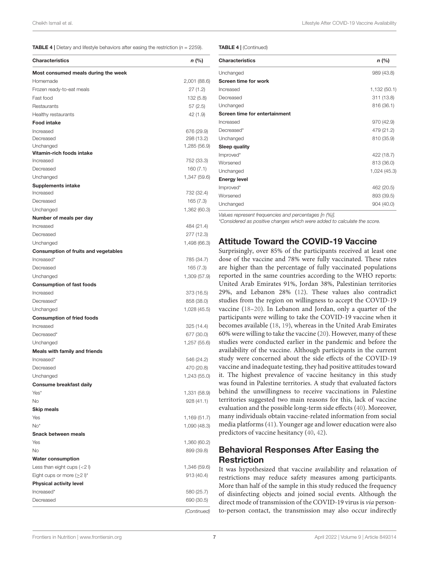**TABLE 4** | Dietary and lifestyle behaviors after easing the restriction ( $n = 2259$ ).

| <b>Characteristics</b>                      | n (%)        |
|---------------------------------------------|--------------|
| Most consumed meals during the week         |              |
| Homemade                                    | 2,001 (88.6) |
| Frozen ready-to-eat meals                   | 27(1.2)      |
| Fast food                                   | 132 (5.8)    |
| Restaurants                                 | 57(2.5)      |
| Healthy restaurants                         | 42 (1.9)     |
| <b>Food intake</b>                          |              |
| Increased                                   | 676 (29.9)   |
| Decreased                                   | 298 (13.2)   |
| Unchanged                                   | 1,285 (56.9) |
| Vitamin-rich foods intake                   |              |
| Increased                                   | 752 (33.3)   |
| Decreased                                   | 160(7.1)     |
| Unchanged                                   | 1,347 (59.6) |
| <b>Supplements intake</b>                   |              |
| Increased                                   | 732 (32.4)   |
| Decreased                                   | 165(7.3)     |
| Unchanged                                   | 1,362 (60.3) |
| Number of meals per day                     |              |
| Increased                                   | 484 (21.4)   |
| Decreased                                   | 277 (12.3)   |
| Unchanged                                   | 1,498 (66.3) |
| <b>Consumption of fruits and vegetables</b> |              |
| Increased*                                  | 785 (34.7)   |
| Decreased                                   | 165 (7.3)    |
| Unchanged                                   | 1,309 (57.9) |
| <b>Consumption of fast foods</b>            |              |
| Increased                                   | 373 (16.5)   |
| Decreased <sup>*</sup>                      | 858 (38.0)   |
| Unchanged                                   | 1,028 (45.5) |
| <b>Consumption of fried foods</b>           |              |
| Increased                                   | 325 (14.4)   |
| Decreased <sup>*</sup>                      | 677 (30.0)   |
| Unchanged                                   | 1,257 (55.6) |
| <b>Meals with family and friends</b>        |              |
| Increased*                                  | 546 (24.2)   |
| Decreased                                   | 470 (20.8)   |
| Unchanged                                   | 1,243 (55.0) |
| Consume breakfast daily                     |              |
| Yes*                                        | 1,331 (58.9) |
| No                                          | 928 (41.1)   |
| <b>Skip meals</b>                           |              |
| Yes                                         | 1,169 (51.7) |
| $No*$                                       | 1,090 (48.3) |
| Snack between meals                         |              |
| Yes                                         | 1,360 (60.2) |
| No                                          | 899 (39.8)   |
| <b>Water consumption</b>                    |              |
| Less than eight cups $(<2)$                 | 1,346 (59.6) |
| Eight cups or more $(\geq 2)$ <sup>*</sup>  | 913 (40.4)   |
| <b>Physical activity level</b>              |              |
| Increased*                                  | 580 (25.7)   |
| Decreased                                   | 690 (30.5)   |
|                                             | (Continued)  |

<span id="page-8-0"></span>TABLE 4 | (Continued)

| <b>Characteristics</b>        | $n$ (%)      |
|-------------------------------|--------------|
| Unchanged                     | 989 (43.8)   |
| <b>Screen time for work</b>   |              |
| Increased                     | 1,132 (50.1) |
| Decreased                     | 311 (13.8)   |
| Unchanged                     | 816 (36.1)   |
| Screen time for entertainment |              |
| Increased                     | 970 (42.9)   |
| Decreased*                    | 479 (21.2)   |
| Unchanged                     | 810 (35.9)   |
| Sleep quality                 |              |
| Improved*                     | 422 (18.7)   |
| Worsened                      | 813 (36.0)   |
| Unchanged                     | 1,024 (45.3) |
| <b>Energy level</b>           |              |
| Improved*                     | 462 (20.5)   |
| Worsened                      | 893 (39.5)   |
| Unchanged                     | 904 (40.0)   |

Values represent frequencies and percentages [n (%)].

\*Considered as positive changes which were added to calculate the score.

#### Attitude Toward the COVID-19 Vaccine

Surprisingly, over 85% of the participants received at least one dose of the vaccine and 78% were fully vaccinated. These rates are higher than the percentage of fully vaccinated populations reported in the same countries according to the WHO reports: United Arab Emirates 91%, Jordan 38%, Palestinian territories 29%, and Lebanon 28% [\(12\)](#page-11-5). These values also contradict studies from the region on willingness to accept the COVID-19 vaccine [\(18–](#page-11-11)[20\)](#page-11-13). In Lebanon and Jordan, only a quarter of the participants were willing to take the COVID-19 vaccine when it becomes available [\(18,](#page-11-11) [19\)](#page-11-12), whereas in the United Arab Emirates 60% were willing to take the vaccine [\(20\)](#page-11-13). However, many of these studies were conducted earlier in the pandemic and before the availability of the vaccine. Although participants in the current study were concerned about the side effects of the COVID-19 vaccine and inadequate testing, they had positive attitudes toward it. The highest prevalence of vaccine hesitancy in this study was found in Palestine territories. A study that evaluated factors behind the unwillingness to receive vaccinations in Palestine territories suggested two main reasons for this, lack of vaccine evaluation and the possible long-term side effects [\(40\)](#page-11-34). Moreover, many individuals obtain vaccine-related information from social media platforms [\(41\)](#page-11-35). Younger age and lower education were also predictors of vaccine hesitancy [\(40,](#page-11-34) [42\)](#page-11-36).

## Behavioral Responses After Easing the **Restriction**

It was hypothesized that vaccine availability and relaxation of restrictions may reduce safety measures among participants. More than half of the sample in this study reduced the frequency of disinfecting objects and joined social events. Although the direct mode of transmission of the COVID-19 virus is via personto-person contact, the transmission may also occur indirectly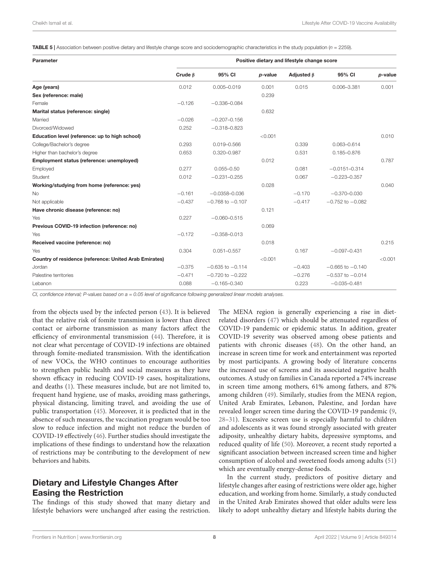<span id="page-9-0"></span>**TABLE 5** | Association between positive dietary and lifestyle change score and sociodemographic characteristics in the study population ( $n = 2259$ ).

| Parameter                                              | Positive dietary and lifestyle change score |                      |         |                  |                      |         |  |
|--------------------------------------------------------|---------------------------------------------|----------------------|---------|------------------|----------------------|---------|--|
|                                                        | Crude $\beta$                               | 95% CI               | p-value | Adjusted $\beta$ | 95% CI               | p-value |  |
| Age (years)                                            | 0.012                                       | $0.005 - 0.019$      | 0.001   | 0.015            | $0.006 - 3.381$      | 0.001   |  |
| Sex (reference: male)                                  |                                             |                      | 0.239   |                  |                      |         |  |
| Female                                                 | $-0.126$                                    | $-0.336 - 0.084$     |         |                  |                      |         |  |
| Marital status (reference: single)                     |                                             |                      | 0.632   |                  |                      |         |  |
| Married                                                | $-0.026$                                    | $-0.207 - 0.156$     |         |                  |                      |         |  |
| Divorced/Widowed                                       | 0.252                                       | $-0.318 - 0.823$     |         |                  |                      |         |  |
| Education level (reference: up to high school)         |                                             |                      | < 0.001 |                  |                      | 0.010   |  |
| College/Bachelor's degree                              | 0.293                                       | 0.019-0.566          |         | 0.339            | $0.063 - 0.614$      |         |  |
| Higher than bachelor's degree                          | 0.653                                       | 0.320-0.987          |         | 0.531            | $0.185 - 0.876$      |         |  |
| Employment status (reference: unemployed)              |                                             |                      | 0.012   |                  |                      | 0.787   |  |
| Employed                                               | 0.277                                       | $0.055 - 0.50$       |         | 0.081            | $-0.0151 - 0.314$    |         |  |
| Student                                                | 0.012                                       | $-0.231 - 0.255$     |         | 0.067            | $-0.223 - 0.357$     |         |  |
| Working/studying from home (reference: yes)            |                                             |                      | 0.028   |                  |                      | 0.040   |  |
| <b>No</b>                                              | $-0.161$                                    | $-0.0358 - 0.036$    |         | $-0.170$         | $-0.370 - 0.030$     |         |  |
| Not applicable                                         | $-0.437$                                    | $-0.768$ to $-0.107$ |         | $-0.417$         | $-0.752$ to $-0.082$ |         |  |
| Have chronic disease (reference: no)                   |                                             |                      | 0.121   |                  |                      |         |  |
| Yes                                                    | 0.227                                       | $-0.060 - 0.515$     |         |                  |                      |         |  |
| Previous COVID-19 infection (reference: no)            |                                             |                      | 0.069   |                  |                      |         |  |
| Yes                                                    | $-0.172$                                    | $-0.358 - 0.013$     |         |                  |                      |         |  |
| Received vaccine (reference: no)                       |                                             |                      | 0.018   |                  |                      | 0.215   |  |
| Yes                                                    | 0.304                                       | $0.051 - 0.557$      |         | 0.167            | $-0.097 - 0.431$     |         |  |
| Country of residence (reference: United Arab Emirates) |                                             |                      | < 0.001 |                  |                      | < 0.001 |  |
| Jordan                                                 | $-0.375$                                    | $-0.635$ to $-0.114$ |         | $-0.403$         | $-0.665$ to $-0.140$ |         |  |
| Palestine territories                                  | $-0.471$                                    | $-0.720$ to $-0.222$ |         | $-0.276$         | $-0.537$ to $-0.014$ |         |  |
| Lebanon                                                | 0.088                                       | $-0.165 - 0.340$     |         | 0.223            | $-0.035 - 0.481$     |         |  |

CI, confidence interval; P-values based on a = 0.05 level of significance following generalized linear models analyses.

from the objects used by the infected person [\(43\)](#page-12-0). It is believed that the relative risk of fomite transmission is lower than direct contact or airborne transmission as many factors affect the efficiency of environmental transmission [\(44\)](#page-12-1). Therefore, it is not clear what percentage of COVID-19 infections are obtained through fomite-mediated transmission. With the identification of new VOCs, the WHO continues to encourage authorities to strengthen public health and social measures as they have shown efficacy in reducing COVID-19 cases, hospitalizations, and deaths [\(1\)](#page-10-0). These measures include, but are not limited to, frequent hand hygiene, use of masks, avoiding mass gatherings, physical distancing, limiting travel, and avoiding the use of public transportation [\(45\)](#page-12-2). Moreover, it is predicted that in the absence of such measures, the vaccination program would be too slow to reduce infection and might not reduce the burden of COVID-19 effectively [\(46\)](#page-12-3). Further studies should investigate the implications of these findings to understand how the relaxation of restrictions may be contributing to the development of new behaviors and habits.

## Dietary and Lifestyle Changes After Easing the Restriction

The findings of this study showed that many dietary and lifestyle behaviors were unchanged after easing the restriction. The MENA region is generally experiencing a rise in dietrelated disorders [\(47\)](#page-12-4) which should be attenuated regardless of COVID-19 pandemic or epidemic status. In addition, greater COVID-19 severity was observed among obese patients and patients with chronic diseases [\(48\)](#page-12-5). On the other hand, an increase in screen time for work and entertainment was reported by most participants. A growing body of literature concerns the increased use of screens and its associated negative health outcomes. A study on families in Canada reported a 74% increase in screen time among mothers, 61% among fathers, and 87% among children [\(49\)](#page-12-6). Similarly, studies from the MENA region, United Arab Emirates, Lebanon, Palestine, and Jordan have revealed longer screen time during the COVID-19 pandemic [\(9,](#page-11-21) [28–](#page-11-22)[31\)](#page-11-23). Excessive screen use is especially harmful to children and adolescents as it was found strongly associated with greater adiposity, unhealthy dietary habits, depressive symptoms, and reduced quality of life [\(50\)](#page-12-7). Moreover, a recent study reported a significant association between increased screen time and higher consumption of alcohol and sweetened foods among adults [\(51\)](#page-12-8) which are eventually energy-dense foods.

In the current study, predictors of positive dietary and lifestyle changes after easing of restrictions were older age, higher education, and working from home. Similarly, a study conducted in the United Arab Emirates showed that older adults were less likely to adopt unhealthy dietary and lifestyle habits during the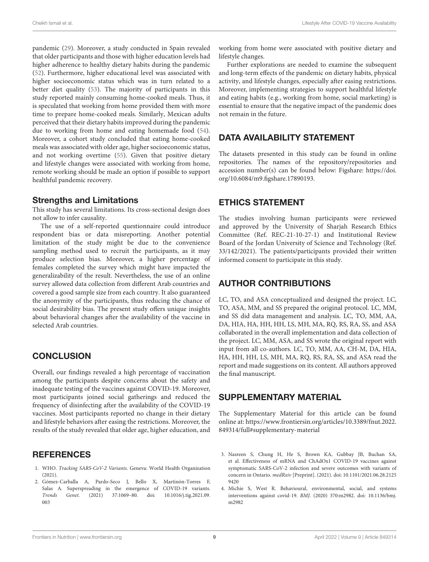pandemic [\(29\)](#page-11-26). Moreover, a study conducted in Spain revealed that older participants and those with higher education levels had higher adherence to healthy dietary habits during the pandemic [\(52\)](#page-12-9). Furthermore, higher educational level was associated with higher socioeconomic status which was in turn related to a better diet quality [\(53\)](#page-12-10). The majority of participants in this study reported mainly consuming home-cooked meals. Thus, it is speculated that working from home provided them with more time to prepare home-cooked meals. Similarly, Mexican adults perceived that their dietary habits improved during the pandemic due to working from home and eating homemade food [\(54\)](#page-12-11). Moreover, a cohort study concluded that eating home-cooked meals was associated with older age, higher socioeconomic status, and not working overtime [\(55\)](#page-12-12). Given that positive dietary and lifestyle changes were associated with working from home, remote working should be made an option if possible to support healthful pandemic recovery.

#### Strengths and Limitations

This study has several limitations. Its cross-sectional design does not allow to infer causality.

The use of a self-reported questionnaire could introduce respondent bias or data misreporting. Another potential limitation of the study might be due to the convenience sampling method used to recruit the participants, as it may produce selection bias. Moreover, a higher percentage of females completed the survey which might have impacted the generalizability of the result. Nevertheless, the use of an online survey allowed data collection from different Arab countries and covered a good sample size from each country. It also guaranteed the anonymity of the participants, thus reducing the chance of social desirability bias. The present study offers unique insights about behavioral changes after the availability of the vaccine in selected Arab countries.

## **CONCLUSION**

Overall, our findings revealed a high percentage of vaccination among the participants despite concerns about the safety and inadequate testing of the vaccines against COVID-19. Moreover, most participants joined social gatherings and reduced the frequency of disinfecting after the availability of the COVID-19 vaccines. Most participants reported no change in their dietary and lifestyle behaviors after easing the restrictions. Moreover, the results of the study revealed that older age, higher education, and

## **REFERENCES**

- <span id="page-10-0"></span>1. WHO. Tracking SARS-CoV-2 Variants. Geneva: World Health Organization (2021).
- <span id="page-10-1"></span>2. Gómez-Carballa A, Pardo-Seco J, Bello X, Martinón-Torres F, Salas A. Superspreading in the emergence of COVID-19 variants. Trends Genet. (2021) 37:1069–80. [doi: 10.1016/j.tig.2021.09.](https://doi.org/10.1016/j.tig.2021.09.003) [003](https://doi.org/10.1016/j.tig.2021.09.003)

working from home were associated with positive dietary and lifestyle changes.

Further explorations are needed to examine the subsequent and long-term effects of the pandemic on dietary habits, physical activity, and lifestyle changes, especially after easing restrictions. Moreover, implementing strategies to support healthful lifestyle and eating habits (e.g., working from home, social marketing) is essential to ensure that the negative impact of the pandemic does not remain in the future.

# DATA AVAILABILITY STATEMENT

The datasets presented in this study can be found in online repositories. The names of the repository/repositories and accession number(s) can be found below: Figshare: [https://doi.](https://doi.org/10.6084/m9.figshare.17890193) [org/10.6084/m9.figshare.17890193.](https://doi.org/10.6084/m9.figshare.17890193)

## ETHICS STATEMENT

The studies involving human participants were reviewed and approved by the University of Sharjah Research Ethics Committee (Ref. REC-21-10-27-1) and Institutional Review Board of the Jordan University of Science and Technology (Ref. 33/142/2021). The patients/participants provided their written informed consent to participate in this study.

## AUTHOR CONTRIBUTIONS

LC, TO, and ASA conceptualized and designed the project. LC, TO, ASA, MM, and SS prepared the original protocol. LC, MM, and SS did data management and analysis. LC, TO, MM, AA, DA, HIA, HA, HH, HH, LS, MH, MA, RQ, RS, RA, SS, and ASA collaborated in the overall implementation and data collection of the project. LC, MM, ASA, and SS wrote the original report with input from all co-authors. LC, TO, MM, AA, CH-M, DA, HIA, HA, HH, HH, LS, MH, MA, RQ, RS, RA, SS, and ASA read the report and made suggestions on its content. All authors approved the final manuscript.

## <span id="page-10-4"></span>SUPPLEMENTARY MATERIAL

The Supplementary Material for this article can be found online at: [https://www.frontiersin.org/articles/10.3389/fnut.2022.](https://www.frontiersin.org/articles/10.3389/fnut.2022.849314/full#supplementary-material) [849314/full#supplementary-material](https://www.frontiersin.org/articles/10.3389/fnut.2022.849314/full#supplementary-material)

- <span id="page-10-2"></span>3. Nasreen S, Chung H, He S, Brown KA, Gubbay JB, Buchan SA, et al. Effectiveness of mRNA and ChAdOx1 COVID-19 vaccines against symptomatic SARS-CoV-2 infection and severe outcomes with variants of concern in Ontario. medRxiv [Preprint]. (2021). [doi: 10.1101/2021.06.28.2125](https://doi.org/10.1101/2021.06.28.21259420) [9420](https://doi.org/10.1101/2021.06.28.21259420)
- <span id="page-10-3"></span>4. Michie S, West R. Behavioural, environmental, social, and systems interventions against covid-19. BMJ. (2020) 370:m2982. [doi: 10.1136/bmj.](https://doi.org/10.1136/bmj.m2982) [m2982](https://doi.org/10.1136/bmj.m2982)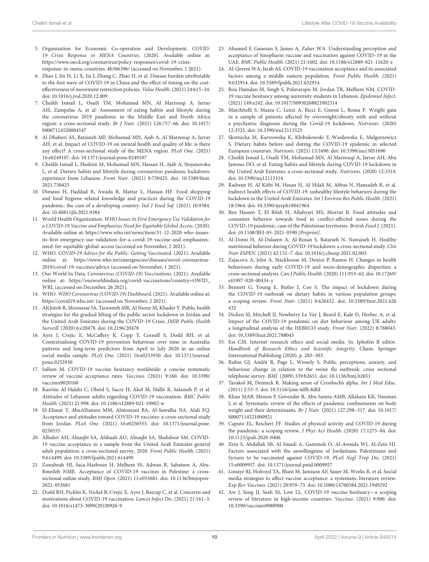- <span id="page-11-0"></span>5. Organisation for Economic Co-operation and Development. COVID-19 Crisis Response in MENA Countries. (2020). Available online at: [https://www.oecd.org/coronavirus/policy-responses/covid-19-crisis](https://www.oecd.org/coronavirus/policy-responses/covid-19-crisis-response-in-mena-countries-4b366396/)[response-in-mena-countries-4b366396/](https://www.oecd.org/coronavirus/policy-responses/covid-19-crisis-response-in-mena-countries-4b366396/) (accessed on November, 1 2021).
- <span id="page-11-1"></span>6. Zhao J, Jin H, Li X, Jia J, Zhang C, Zhao H, et al. Disease burden attributable to the first wave of COVID-19 in China and the effect of timing on the costeffectiveness of movement restriction policies. Value Health. (2021) 24:615–24. [doi: 10.1016/j.jval.2020.12.009](https://doi.org/10.1016/j.jval.2020.12.009)
- <span id="page-11-2"></span>7. Cheikh Ismail L, Osaili TM, Mohamad MN, Al Marzouqi A, Jarrar AH, Zampelas A, et al. Assessment of eating habits and lifestyle during the coronavirus 2019 pandemic in the Middle East and North Africa region: a cross-sectional study. Br J Nutr. (2021) 126:757–66. [doi: 10.1017/](https://doi.org/10.1017/S0007114520004547) [S0007114520004547](https://doi.org/10.1017/S0007114520004547)
- 8. Al Dhaheri AS, Bataineh MF, Mohamad MN, Ajab A, Al Marzouqi A, Jarrar AH, et al. Impact of COVID-19 on mental health and quality of life: is there any effect? A cross-sectional study of the MENA region. PLoS One. (2021) 16:e0249107. [doi: 10.1371/journal.pone.0249107](https://doi.org/10.1371/journal.pone.0249107)
- <span id="page-11-21"></span>9. Cheikh Ismail L, Hashim M, Mohamad MN, Hassan H, Ajab A, Stojanovska L, et al. Dietary habits and lifestyle during coronavirus pandemic lockdown: experience from Lebanon. Front Nutr. (2021) 8:730425. [doi: 10.3389/fnut.](https://doi.org/10.3389/fnut.2021.730425) [2021.730425](https://doi.org/10.3389/fnut.2021.730425)
- <span id="page-11-3"></span>10. Dimassi H, Haddad R, Awada R, Mattar L, Hassan HF. Food shopping and food hygiene related knowledge and practices during the COVID-19 pandemic: the case of a developing country. Ital J Food Saf. (2021) 10:9384. [doi: 10.4081/ijfs.2021.9384](https://doi.org/10.4081/ijfs.2021.9384)
- <span id="page-11-4"></span>11. World Health Organization. WHO Issues its First Emergency Use Validation for a COVID-19 Vaccine and Emphasizes Need for Equitable Global Access. (2020). Available online at: [https://www.who.int/news/item/31-12-2020-who-issues](https://www.who.int/news/item/31-12-2020-who-issues-its-first-emergency-use-validation-for-a-covid-19-vaccine-and-emphasizes-need-for-equitable-global-access)[its-first-emergency-use-validation-for-a-covid-19-vaccine-and-emphasizes](https://www.who.int/news/item/31-12-2020-who-issues-its-first-emergency-use-validation-for-a-covid-19-vaccine-and-emphasizes-need-for-equitable-global-access)[need-for-equitable-global-access](https://www.who.int/news/item/31-12-2020-who-issues-its-first-emergency-use-validation-for-a-covid-19-vaccine-and-emphasizes-need-for-equitable-global-access) (accessed on November, 2 2021).
- <span id="page-11-5"></span>12. WHO. COVID-19 Advice for the Public: Getting Vaccinated. (2021). Available online at: [https://www.who.int/emergencies/diseases/novel-coronavirus-](https://www.who.int/emergencies/diseases/novel-coronavirus-2019/covid-19-vaccines/advice)[2019/covid-19-vaccines/advice](https://www.who.int/emergencies/diseases/novel-coronavirus-2019/covid-19-vaccines/advice) (accessed on November, 1 2021).
- <span id="page-11-6"></span>13. Our World In Data. Coronavirus (COVID-19) Vaccinations. (2021). Available online at: [https://ourworldindata.org/covid-vaccinations?country=OWID\\_](https://ourworldindata.org/covid-vaccinations?country=OWID_WRL) [WRL](https://ourworldindata.org/covid-vaccinations?country=OWID_WRL) (accessed on December, 26 2021).
- <span id="page-11-7"></span>14. WHO. WHO Coronavirus (COVID-19) Dashboard. (2021). Available online at: <https://covid19.who.int/> (accessed on November, 2 2021).
- <span id="page-11-8"></span>15. AlQutob R, Moonesar IA, Tarawneh MR, Al Nsour M, Khader Y. Public health strategies for the gradual lifting of the public sector lockdown in Jordan and the United Arab Emirates during the COVID-19 Crisis. JMIR Public Health Surveill. (2020) 6:e20478. [doi: 10.2196/20478](https://doi.org/10.2196/20478)
- <span id="page-11-9"></span>16. Ayre J, Cvejic E, McCaffery K, Copp T, Cornell S, Dodd RH, et al. Contextualising COVID-19 prevention behaviour over time in Australia: patterns and long-term predictors from April to July 2020 in an online social media sample. PLoS One. (2021) 16:e0253930. [doi: 10.1371/journal.](https://doi.org/10.1371/journal.pone.0253930) [pone.0253930](https://doi.org/10.1371/journal.pone.0253930)
- <span id="page-11-10"></span>17. Sallam M. COVID-19 vaccine hesitancy worldwide: a concise systematic review of vaccine acceptance rates. Vaccines. (2021) 9:160. [doi: 10.3390/](https://doi.org/10.3390/vaccines9020160) [vaccines9020160](https://doi.org/10.3390/vaccines9020160)
- <span id="page-11-11"></span>18. Kasrine Al Halabi C, Obeid S, Sacre H, Akel M, Hallit R, Salameh P, et al. Attitudes of Lebanese adults regarding COVID-19 vaccination. BMC Public Health. (2021) 21:998. [doi: 10.1186/s12889-021-10902-w](https://doi.org/10.1186/s12889-021-10902-w)
- <span id="page-11-12"></span>19. El-Elimat T, AbuAlSamen MM, Almomani BA, Al-Sawalha NA, Alali FQ. Acceptance and attitudes toward COVID-19 vaccines: a cross-sectional study from Jordan. PLoS One. (2021) 16:e0250555. [doi: 10.1371/journal.pone.](https://doi.org/10.1371/journal.pone.0250555) [0250555](https://doi.org/10.1371/journal.pone.0250555)
- <span id="page-11-13"></span>20. Albahri AH, Alnaqbi SA, Alshaali AO, Alnaqbi SA, Shahdoor SM. COVID-19 vaccine acceptance in a sample from the United Arab Emirates general adult population: a cross-sectional survey, 2020. Front Public Health. (2021) 9:614499. [doi: 10.3389/fpubh.2021.614499](https://doi.org/10.3389/fpubh.2021.614499)
- <span id="page-11-14"></span>21. Zawahrah HJ, Saca-Hazboun H, Melhem SS, Adwan R, Sabateen A, Abu-Rmeileh NME. Acceptance of COVID-19 vaccines in Palestine: a crosssectional online study. BMJ Open. (2021) 11:e053681. [doi: 10.1136/bmjopen-](https://doi.org/10.1136/bmjopen-2021-053681)[2021-053681](https://doi.org/10.1136/bmjopen-2021-053681)
- <span id="page-11-15"></span>22. Dodd RH, Pickles K, Nickel B, Cvejic E, Ayre J, Batcup C, et al. Concerns and motivations about COVID-19 vaccination. Lancet Infect Dis. (2021) 21:161–3. [doi: 10.1016/s1473-3099\(20\)30926-9](https://doi.org/10.1016/s1473-3099(20)30926-9)
- <span id="page-11-16"></span>23. Ahamed F, Ganesan S, James A, Zaher WA. Understanding perception and acceptance of Sinopharm vaccine and vaccination against COVID–19 in the UAE. BMC Public Health. (2021) 21:1602. [doi: 10.1186/s12889-021-11620-z](https://doi.org/10.1186/s12889-021-11620-z)
- <span id="page-11-17"></span>24. Al-Qerem WA, Jarab AS. COVID-19 vaccination acceptance and its associated factors among a middle eastern population. Front Public Health. (2021) 9:632914. [doi: 10.3389/fpubh.2021.632914](https://doi.org/10.3389/fpubh.2021.632914)
- <span id="page-11-18"></span>25. Bou Hamdan M, Singh S, Polavarapu M, Jordan TR, Melhem NM. COVID-19 vaccine hesitancy among university students in Lebanon. Epidemiol Infect. (2021) 149:e242. [doi: 10.1017/S0950268821002314](https://doi.org/10.1017/S0950268821002314)
- <span id="page-11-19"></span>26. Marchitelli S, Mazza C, Lenzi A, Ricci E, Gnessi L, Roma P. Weight gain in a sample of patients affected by overweight/obesity with and without a psychiatric diagnosis during the Covid-19 lockdown. Nutrients. (2020) 12:3525. [doi: 10.3390/nu12113525](https://doi.org/10.3390/nu12113525)
- <span id="page-11-20"></span>27. Skotnicka M, Karwowska K, Kłobukowski F, Wasilewska E, Małgorzewicz S. Dietary habits before and during the COVID-19 epidemic in selected European countries. Nutrients. (2021) 13:1690. [doi: 10.3390/nu13051690](https://doi.org/10.3390/nu13051690)
- <span id="page-11-22"></span>28. Cheikh Ismail L, Osaili TM, Mohamad MN, Al Marzouqi A, Jarrar AH, Abu Jamous DO, et al. Eating habits and lifestyle during COVID-19 lockdown in the United Arab Emirates: a cross-sectional study. Nutrients. (2020) 12:3314. [doi: 10.3390/nu12113314](https://doi.org/10.3390/nu12113314)
- <span id="page-11-26"></span>29. Radwan H, Al Kitbi M, Hasan H, Al Hilali M, Abbas N, Hamadeh R, et al. Indirect health effects of COVID-19: unhealthy lifestyle behaviors during the lockdown in the United Arab Emirates. Int J Environ Res Public Health. (2021) 18:1964. [doi: 10.3390/ijerph18041964](https://doi.org/10.3390/ijerph18041964)
- <span id="page-11-27"></span>30. Ben Hassen T, El Bilali H, Allahyari MS, Morrar R. Food attitudes and consumer behavior towards food in conflict-affected zones during the COVID-19 pandemic: case of the Palestinian territories. British Food J. (2021). [doi: 10.1108/BFJ-05-2021-0590](https://doi.org/10.1108/BFJ-05-2021-0590) [Preprint].
- <span id="page-11-23"></span>31. Al-Domi H, Al-Dalaeen A, Al-Rosan S, Batarseh N, Nawaiseh H. Healthy nutritional behavior during COVID-19 lockdown: a cross-sectional study. Clin Nutr ESPEN. (2021) 42:132–7. [doi: 10.1016/j.clnesp.2021.02.003](https://doi.org/10.1016/j.clnesp.2021.02.003)
- <span id="page-11-24"></span>32. Zajacova A, Jehn A, Stackhouse M, Denice P, Ramos H. Changes in health behaviours during early COVID-19 and socio-demographic disparities: a cross-sectional analysis. Can J Public Health. (2020) 111:953–62. [doi: 10.17269/](https://doi.org/10.17269/s41997-020-00434-y) [s41997-020-00434-y](https://doi.org/10.17269/s41997-020-00434-y)
- <span id="page-11-25"></span>33. Bennett G, Young E, Butler I, Coe S. The impact of lockdown during the COVID-19 outbreak on dietary habits in various population groups: a scoping review. Front Nutr. (2021) 8:626432. [doi: 10.3389/fnut.2021.626](https://doi.org/10.3389/fnut.2021.626432) [432](https://doi.org/10.3389/fnut.2021.626432)
- <span id="page-11-28"></span>34. Dicken SJ, Mitchell JJ, Newberry Le Vay J, Beard E, Kale D, Herbec A, et al. Impact of the COVID-19 pandemic on diet behaviour among UK adults: a longitudinal analysis of the HEBECO study. Front Nutr. (2022) 8:788043. [doi: 10.3389/fnut.2021.788043](https://doi.org/10.3389/fnut.2021.788043)
- <span id="page-11-29"></span>35. Ess CM. Internet research ethics and social media. In: Iphofen R editor. Handbook of Research Ethics and Scientific Integrity. Cham: Springer International Publishing (2020). p. 283–303.
- <span id="page-11-30"></span>36. Rubin GJ, Amlôt R, Page L, Wessely S. Public perceptions, anxiety, and behaviour change in relation to the swine flu outbreak: cross sectional telephone survey. BMJ. (2009) 339:b2651. [doi: 10.1136/bmj.b2651](https://doi.org/10.1136/bmj.b2651)
- <span id="page-11-31"></span>37. Tavakol M, Dennick R. Making sense of Cronbach's alpha. Int J Med Educ. (2011) 2:53–5. [doi: 10.5116/ijme.4dfb.8dfd](https://doi.org/10.5116/ijme.4dfb.8dfd)
- <span id="page-11-32"></span>38. Khan MAB, Menon P, Govender R, Abu Samra AMB, Allaham KK, Nauman J, et al. Systematic review of the effects of pandemic confinements on body weight and their determinants. Br J Nutr. (2021) 127:298–317. [doi: 10.1017/](https://doi.org/10.1017/S0007114521000921) [S0007114521000921](https://doi.org/10.1017/S0007114521000921)
- <span id="page-11-33"></span>39. Caputo EL, Reichert FF. Studies of physical activity and COVID-19 during the pandemic: a scoping review. J Phys Act Health. (2020) 17:1275–84. [doi:](https://doi.org/10.1123/jpah.2020-0406) [10.1123/jpah.2020-0406](https://doi.org/10.1123/jpah.2020-0406)
- <span id="page-11-34"></span>40. Zein S, Abdallah SB, Al-Smadi A, Gammoh O, Al-Awaida WJ, Al-Zein HJ. Factors associated with the unwillingness of Jordanians, Palestinians and Syrians to be vaccinated against COVID-19. PLoS Negl Trop Dis. (2021) 15:e0009957. [doi: 10.1371/journal.pntd.0009957](https://doi.org/10.1371/journal.pntd.0009957)
- <span id="page-11-35"></span>41. Limaye RJ, Holroyd TA, Blunt M, Jamison AF, Sauer M, Weeks R, et al. Social media strategies to affect vaccine acceptance: a systematic literature review. Exp Rev Vaccines. (2021) 20:959–73. [doi: 10.1080/14760584.2021.1949292](https://doi.org/10.1080/14760584.2021.1949292)
- <span id="page-11-36"></span>42. Aw J, Seng JJ, Seah SS, Low LL. COVID-19 vaccine hesitancy—a scoping review of literature in high-income countries. Vaccines. (2021) 9:900. [doi:](https://doi.org/10.3390/vaccines9080900) [10.3390/vaccines9080900](https://doi.org/10.3390/vaccines9080900)